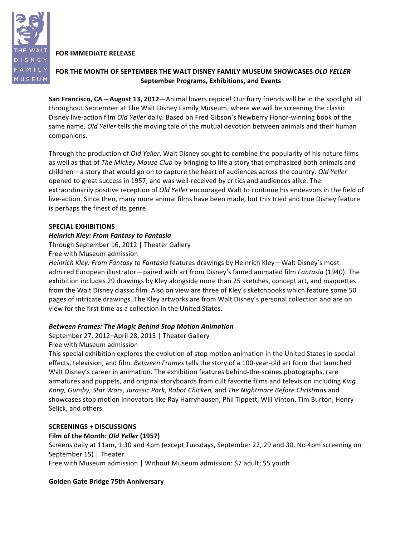## **FOR IMMEDIATE RELEASE**

## FOR THE MONTH OF SEPTEMBER THE WALT DISNEY FAMILY MUSEUM SHOWCASES *OLD YELLER* **September\$Programs,\$Exhibitions, and\$Events**

**San Francisco, CA – August 13, 2012**—Animal lovers rejoice! Our furry friends will be in the spotlight all throughout September at The Walt Disney Family Museum, where we will be screening the classic Disney live-action film Old Yeller daily. Based on Fred Gibson's Newberry Honor-winning book of the same name, Old Yeller tells the moving tale of the mutual devotion between animals and their human companions.

Through the production of *Old Yeller*, Walt Disney sought to combine the popularity of his nature films as well as that of *The Mickey Mouse Club* by bringing to life a story that emphasized both animals and children—a story that would go on to capture the heart of audiences across the country. *Old Yeller* opened to great success in 1957, and was well-received by critics and audiences alike. The extraordinarily positive reception of *Old Yeller* encouraged Walt to continue his endeavors in the field of live-action. Since then, many more animal films have been made, but this tried and true Disney feature is perhaps the finest of its genre.

### **SPECIAL EXHIBITIONS**

### *Heinrich!Kley:!From!Fantasy!to!Fantasia*

Through September 16, 2012 | Theater Gallery

Free with Museum admission

*Heinrich Kley: From Fantasy to Fantasia* features drawings by Heinrich Kley—Walt Disney's most admired European illustrator—paired with art from Disney's famed animated film *Fantasia* (1940). The exhibition includes 29 drawings by Kley alongside more than 25 sketches, concept art, and maquettes from the Walt Disney classic film. Also on view are three of Kley's sketchbooks which feature some 50 pages of intricate drawings. The Kley artworks are from Walt Disney's personal collection and are on view for the first time as a collection in the United States.

### *Between!Frames:!The!Magic!Behind Stop!Motion!Animation*

September 27, 2012–April 28, 2013 | Theater Gallery Free with Museum admission

This special exhibition explores the evolution of stop motion animation in the United States in special effects, television, and film. *Between Frames* tells the story of a 100-year-old art form that launched Walt Disney's career in animation. The exhibition features behind-the-scenes photographs, rare armatures and puppets, and original storyboards from cult favorite films and television including *King* Kong, Gumby, Star Wars, Jurassic Park, Robot Chicken, and The Nightmare Before Christmas and showcases stop motion innovators like Ray Harryhausen, Phil Tippett, Will Vinton, Tim Burton, Henry Selick, and others.

### **SCREENINGS + DISCUSSIONS**

### Film of the Month: Old Yeller (1957)

Screens daily at 11am, 1:30 and 4pm (except Tuesdays, September 22, 29 and 30. No 4pm screening on September 15) | Theater

Free with Museum admission | Without Museum admission: \$7 adult; \$5 youth

### **Golden Gate Bridge 75th Anniversary**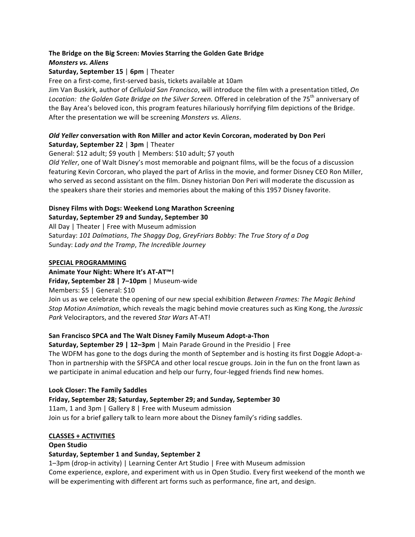### The Bridge on the Big Screen: Movies Starring the Golden Gate Bridge *Monsters!vs.!Aliens*

### **Saturday, September 15 | 6pm | Theater**

Free on a first-come, first-served basis, tickets available at 10am

Jim Van Buskirk, author of *Celluloid San Francisco*, will introduce the film with a presentation titled, *On* Location: the Golden Gate Bridge on the Silver Screen. Offered in celebration of the 75<sup>th</sup> anniversary of the Bay Area's beloved icon, this program features hilariously horrifying film depictions of the Bridge. After the presentation we will be screening Monsters vs. Aliens.

## *Old Yeller* **conversation with Ron Miller and actor Kevin Corcoran, moderated by Don Peri Saturday, September 22 | 3pm | Theater**

General: \$12 adult; \$9 youth | Members: \$10 adult; \$7 youth

*Old Yeller*, one of Walt Disney's most memorable and poignant films, will be the focus of a discussion featuring Kevin Corcoran, who played the part of Arliss in the movie, and former Disney CEO Ron Miller, who served as second assistant on the film. Disney historian Don Peri will moderate the discussion as the speakers share their stories and memories about the making of this 1957 Disney favorite.

# **Disney Films with Dogs: Weekend Long Marathon Screening**

## Saturday, September 29 and Sunday, September 30

All Day | Theater | Free with Museum admission Saturday: 101 Dalmatians, The Shaggy Dog, GreyFriars Bobby: The True Story of a Dog Sunday: *Lady and the Tramp*, *The Incredible Journey* 

## SPECIAL PROGRAMMING

**Animate Your Night: Where It's AT-AT™!** 

## **Friday, September 28 | 7–10pm** | Museum-wide

Members: \$5 | General: \$10

Join us as we celebrate the opening of our new special exhibition *Between Frames: The Magic Behind Stop Motion Animation*, which reveals the magic behind movie creatures such as King Kong, the *Jurassic Park* Velociraptors, and the revered Star Wars AT-AT!

## **San Francisco SPCA and The Walt Disney Family Museum Adopt-a-Thon**

**Saturday, September 29 | 12–3pm** | Main Parade Ground in the Presidio | Free The WDFM has gone to the dogs during the month of September and is hosting its first Doggie Adopt-a-Thon in partnership with the SFSPCA and other local rescue groups. Join in the fun on the front lawn as we participate in animal education and help our furry, four-legged friends find new homes.

## **Look Closer: The Family Saddles**

## **Friday, September 28; Saturday, September 29; and Sunday, September 30**

11am, 1 and 3pm | Gallery 8 | Free with Museum admission Join us for a brief gallery talk to learn more about the Disney family's riding saddles.

### **CLASSES + ACTIVITIES**

### **Open\$Studio**

## Saturday, September 1 and Sunday, September 2

1–3pm (drop-in activity) | Learning Center Art Studio | Free with Museum admission Come experience, explore, and experiment with us in Open Studio. Every first weekend of the month we will be experimenting with different art forms such as performance, fine art, and design.